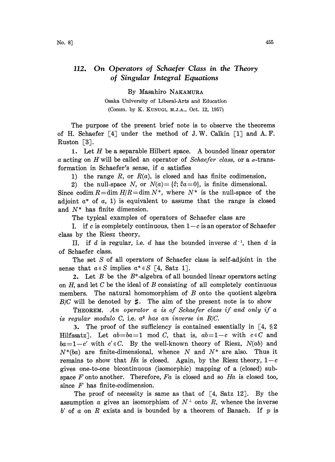By Masahiro NAKAMURA

Osaka University of Liberal-Arts and Education (Comm. by K. KUNUGI, M.J.A., Oct. 12, 1957)

The purpose of the present brief note is to observe the theorems of H. Schaefer  $[4]$  under the method of J.W. Calkin  $[1]$  and A.F. Ruston  $\lceil 3 \rceil$ .

1. Let  $H$  be a separable Hilbert space. A bounded linear operator a acting on H will be called an operator of Schaefer class, or a  $\sigma$ -transformation in Schaefer's sense, if  $\alpha$  satisfies

1) the range R, or  $R(a)$ , is closed and has finite codimension,

2) the null-space N, or  $N(a) = {\hat{\xi}}$ ;  $\hat{\xi}a=0$ , is finite dimensional.

Since codim  $R=\dim H/R=\dim N^*$ , where  $N^*$  is the null-space of the adjoint  $a^*$  of  $a$ , 1) is equivalent to assume that the range is closed and  $N^*$  has finite dimension.

The typical examples of operators of Schaefer class are

I. if c is completely continuous, then  $1-c$  is an operator of Schaefer class by the Riesz theory,

II. if d is regular, i.e. d has the bounded inverse  $d^{-1}$ , then d is of Schaefer class.

The set S of all operators of Schaefer class is self-adjoint in the sense that  $a \in S$  implies  $a^* \in S$  [4, Satz 1].

2. Let  $B$  be the  $B^*$ -algebra of all bounded linear operators acting on  $H$ , and let  $C$  be the ideal of  $B$  consisting of all completely continuous members. The natural homomorphism of  $B$  onto the quotient algebra B/C will be denoted by  $\sharp$ . The aim of the present note is to show

THEOREM. An operator <sup>a</sup> is of Schaefer class if and only if a is regular modulo C, i.e.  $a^*$  has an inverse in  $B/C$ .

3. The proof of the sufficiency is contained essentially in  $\lceil 4, \rceil \rceil$ Hilfssatz]. Let  $ab = ba = 1 \mod C$ , that is,  $ab = 1-c$  with  $c \in C$  and  $ba=1-c'$  with  $c' \in C$ . By the well-known theory of Riesz,  $N(ab)$  and  $N^*(ba)$  are finite-dimensional, whence N and  $N^*$  are also. Thus it remains to show that Ha is closed. Again, by the Riesz theory,  $1-c$ gives one-to-one bicontinuous (isomorphic) mapping of a (closed) subspace F onto another. Therefore,  $Fa$  is closed and so  $Ha$  is closed too, since  $F$  has finite-codimension.

The proof of necessity is same as that of  $\lceil 4, \text{ Satz} \rceil$ . By the assumption  $\alpha$  gives an isomorphism of  $N^{\perp}$  onto  $R$ , whence the inverse  $b'$  of a on R exists and is bounded by a theorem of Banach. If p is